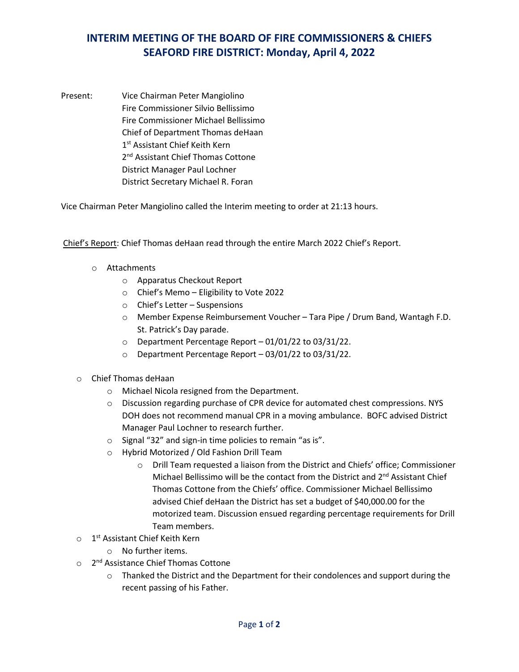## **INTERIM MEETING OF THE BOARD OF FIRE COMMISSIONERS & CHIEFS SEAFORD FIRE DISTRICT: Monday, April 4, 2022**

Present: Vice Chairman Peter Mangiolino Fire Commissioner Silvio Bellissimo Fire Commissioner Michael Bellissimo Chief of Department Thomas deHaan 1<sup>st</sup> Assistant Chief Keith Kern 2<sup>nd</sup> Assistant Chief Thomas Cottone District Manager Paul Lochner District Secretary Michael R. Foran

Vice Chairman Peter Mangiolino called the Interim meeting to order at 21:13 hours.

Chief's Report: Chief Thomas deHaan read through the entire March 2022 Chief's Report.

- o Attachments
	- o Apparatus Checkout Report
	- o Chief's Memo Eligibility to Vote 2022
	- o Chief's Letter Suspensions
	- o Member Expense Reimbursement Voucher Tara Pipe / Drum Band, Wantagh F.D. St. Patrick's Day parade.
	- o Department Percentage Report 01/01/22 to 03/31/22.
	- o Department Percentage Report 03/01/22 to 03/31/22.
- o Chief Thomas deHaan
	- o Michael Nicola resigned from the Department.
	- o Discussion regarding purchase of CPR device for automated chest compressions. NYS DOH does not recommend manual CPR in a moving ambulance. BOFC advised District Manager Paul Lochner to research further.
	- o Signal "32" and sign-in time policies to remain "as is".
	- o Hybrid Motorized / Old Fashion Drill Team
		- o Drill Team requested a liaison from the District and Chiefs' office; Commissioner Michael Bellissimo will be the contact from the District and 2<sup>nd</sup> Assistant Chief Thomas Cottone from the Chiefs' office. Commissioner Michael Bellissimo advised Chief deHaan the District has set a budget of \$40,000.00 for the motorized team. Discussion ensued regarding percentage requirements for Drill Team members.
- o 1<sup>st</sup> Assistant Chief Keith Kern
	- o No further items.
- o 2<sup>nd</sup> Assistance Chief Thomas Cottone
	- $\circ$  Thanked the District and the Department for their condolences and support during the recent passing of his Father.